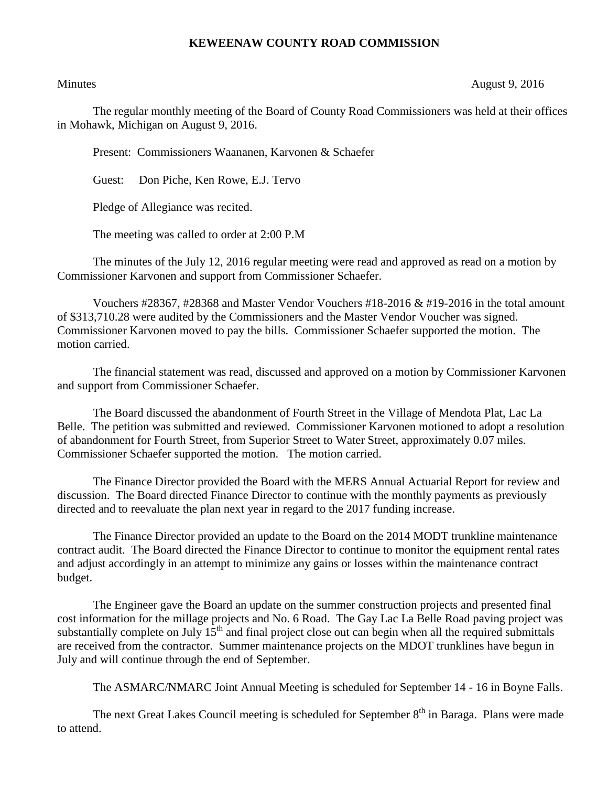## **KEWEENAW COUNTY ROAD COMMISSION**

Minutes August 9, 2016

The regular monthly meeting of the Board of County Road Commissioners was held at their offices in Mohawk, Michigan on August 9, 2016.

Present: Commissioners Waananen, Karvonen & Schaefer

Guest: Don Piche, Ken Rowe, E.J. Tervo

Pledge of Allegiance was recited.

The meeting was called to order at 2:00 P.M

The minutes of the July 12, 2016 regular meeting were read and approved as read on a motion by Commissioner Karvonen and support from Commissioner Schaefer.

Vouchers  $\#28367$ ,  $\#28368$  and Master Vendor Vouchers  $\#18-2016 \& \#19-2016$  in the total amount of \$313,710.28 were audited by the Commissioners and the Master Vendor Voucher was signed. Commissioner Karvonen moved to pay the bills. Commissioner Schaefer supported the motion. The motion carried.

The financial statement was read, discussed and approved on a motion by Commissioner Karvonen and support from Commissioner Schaefer.

The Board discussed the abandonment of Fourth Street in the Village of Mendota Plat, Lac La Belle. The petition was submitted and reviewed. Commissioner Karvonen motioned to adopt a resolution of abandonment for Fourth Street, from Superior Street to Water Street, approximately 0.07 miles. Commissioner Schaefer supported the motion. The motion carried.

The Finance Director provided the Board with the MERS Annual Actuarial Report for review and discussion. The Board directed Finance Director to continue with the monthly payments as previously directed and to reevaluate the plan next year in regard to the 2017 funding increase.

The Finance Director provided an update to the Board on the 2014 MODT trunkline maintenance contract audit. The Board directed the Finance Director to continue to monitor the equipment rental rates and adjust accordingly in an attempt to minimize any gains or losses within the maintenance contract budget.

The Engineer gave the Board an update on the summer construction projects and presented final cost information for the millage projects and No. 6 Road. The Gay Lac La Belle Road paving project was substantially complete on July  $15<sup>th</sup>$  and final project close out can begin when all the required submittals are received from the contractor. Summer maintenance projects on the MDOT trunklines have begun in July and will continue through the end of September.

The ASMARC/NMARC Joint Annual Meeting is scheduled for September 14 - 16 in Boyne Falls.

The next Great Lakes Council meeting is scheduled for September 8<sup>th</sup> in Baraga. Plans were made to attend.